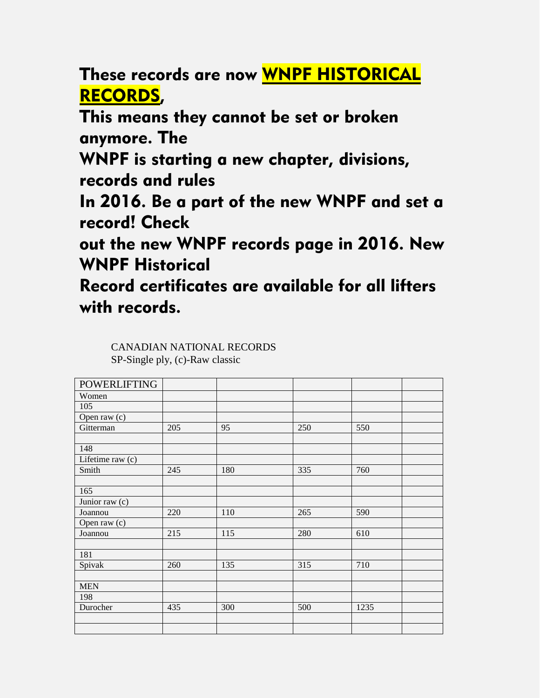These records are now WNPF HISTORICAL RECORDS,

This means they cannot be set or broken anymore. The

WNPF is starting a new chapter, divisions, records and rules

In 2016. Be a part of the new WNPF and set a record! Check

out the new WNPF records page in 2016. New WNPF Historical

Record certificates are available for all lifters with records.

| <b>POWERLIFTING</b> |     |     |     |      |
|---------------------|-----|-----|-----|------|
| Women               |     |     |     |      |
| 105                 |     |     |     |      |
| Open raw (c)        |     |     |     |      |
| Gitterman           | 205 | 95  | 250 | 550  |
|                     |     |     |     |      |
| 148                 |     |     |     |      |
| Lifetime raw (c)    |     |     |     |      |
| Smith               | 245 | 180 | 335 | 760  |
|                     |     |     |     |      |
| 165                 |     |     |     |      |
| Junior raw (c)      |     |     |     |      |
| Joannou             | 220 | 110 | 265 | 590  |
| Open raw (c)        |     |     |     |      |
| Joannou             | 215 | 115 | 280 | 610  |
|                     |     |     |     |      |
| 181                 |     |     |     |      |
| Spivak              | 260 | 135 | 315 | 710  |
|                     |     |     |     |      |
| <b>MEN</b>          |     |     |     |      |
| 198                 |     |     |     |      |
| Durocher            | 435 | 300 | 500 | 1235 |
|                     |     |     |     |      |
|                     |     |     |     |      |

CANADIAN NATIONAL RECORDS SP-Single ply, (c)-Raw classic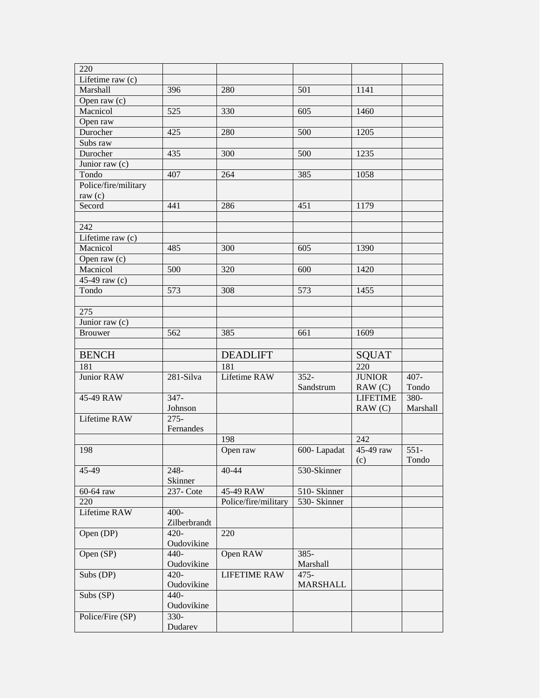| 220                          |              |                      |                 |                 |          |
|------------------------------|--------------|----------------------|-----------------|-----------------|----------|
| Lifetime raw $(c)$           |              |                      |                 |                 |          |
| Marshall                     | 396          | 280                  | 501             | 1141            |          |
| Open raw $(c)$               |              |                      |                 |                 |          |
| Macnicol                     | 525          | 330                  | 605             | 1460            |          |
| Open raw                     |              |                      |                 |                 |          |
| Durocher                     | 425          | 280                  | 500             | 1205            |          |
| Subs raw                     |              |                      |                 |                 |          |
| Durocher                     | 435          | 300                  | 500             | 1235            |          |
| $\overline{J}$ unior raw (c) |              |                      |                 |                 |          |
| Tondo                        | 407          | 264                  | 385             | 1058            |          |
|                              |              |                      |                 |                 |          |
| Police/fire/military         |              |                      |                 |                 |          |
| raw $(c)$                    |              |                      |                 |                 |          |
| Secord                       | 441          | 286                  | 451             | 1179            |          |
|                              |              |                      |                 |                 |          |
| 242                          |              |                      |                 |                 |          |
| Lifetime raw (c)             |              |                      |                 |                 |          |
| Macnicol                     | 485          | 300                  | 605             | 1390            |          |
| Open raw $(c)$               |              |                      |                 |                 |          |
| Macnicol                     | 500          | 320                  | 600             | 1420            |          |
| 45-49 raw (c)                |              |                      |                 |                 |          |
| Tondo                        | 573          | 308                  | 573             | 1455            |          |
|                              |              |                      |                 |                 |          |
| 275                          |              |                      |                 |                 |          |
| Junior raw (c)               |              |                      |                 |                 |          |
| <b>Brouwer</b>               | 562          | 385                  | 661             | 1609            |          |
|                              |              |                      |                 |                 |          |
| <b>BENCH</b>                 |              | <b>DEADLIFT</b>      |                 | SQUAT           |          |
| 181                          |              | 181                  |                 | 220             |          |
| <b>Junior RAW</b>            | 281-Silva    | Lifetime RAW         | $352 -$         | <b>JUNIOR</b>   | $407 -$  |
|                              |              |                      | Sandstrum       | RAW(C)          | Tondo    |
| 45-49 RAW                    | $347 -$      |                      |                 | <b>LIFETIME</b> | 380-     |
|                              | Johnson      |                      |                 | RAW(C)          | Marshall |
| Lifetime RAW                 | $275 -$      |                      |                 |                 |          |
|                              | Fernandes    |                      |                 |                 |          |
|                              |              |                      |                 | 242             |          |
|                              |              | 198                  |                 |                 |          |
| 198                          |              | Open raw             | 600-Lapadat     | 45-49 raw       | $551-$   |
|                              |              |                      |                 | (c)             | Tondo    |
| 45-49                        | 248-         | $40 - 44$            | 530-Skinner     |                 |          |
|                              | Skinner      |                      |                 |                 |          |
| 60-64 raw                    | 237- Cote    | 45-49 RAW            | 510-Skinner     |                 |          |
| 220                          |              | Police/fire/military | 530- Skinner    |                 |          |
| Lifetime RAW                 | 400-         |                      |                 |                 |          |
|                              | Zilberbrandt |                      |                 |                 |          |
| $Open$ $(DP)$                | 420-         | 220                  |                 |                 |          |
|                              | Oudovikine   |                      |                 |                 |          |
| Open (SP)                    | $440-$       | Open RAW             | 385-            |                 |          |
|                              | Oudovikine   |                      | Marshall        |                 |          |
| Subs (DP)                    | $420 -$      | <b>LIFETIME RAW</b>  | $475 -$         |                 |          |
|                              | Oudovikine   |                      | <b>MARSHALL</b> |                 |          |
| Subs $(SP)$                  | 440-         |                      |                 |                 |          |
|                              | Oudovikine   |                      |                 |                 |          |
| Police/Fire (SP)             | $330-$       |                      |                 |                 |          |
|                              | Dudarev      |                      |                 |                 |          |